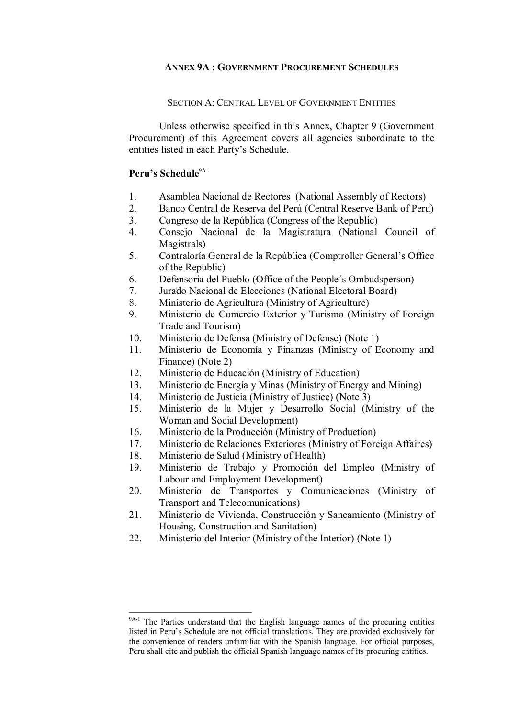## **ANNEX 9A : GOVERNMENT PROCUREMENT SCHEDULES**

#### SECTION A: CENTRAL LEVEL OF GOVERNMENT ENTITIES

Unless otherwise specified in this Annex, Chapter 9 (Government Procurement) of this Agreement covers all agencies subordinate to the entities listed in each Party's Schedule.

## **Peru's Schedule**<sup>9A-1</sup>

- 1. Asamblea Nacional de Rectores (National Assembly of Rectors)
- 2. Banco Central de Reserva del Perú (Central Reserve Bank of Peru)
- 3. Congreso de la República (Congress of the Republic)
- 4. Consejo Nacional de la Magistratura (National Council of Magistrals)
- 5. Contraloría General de la República (Comptroller General's Office of the Republic)
- 6. Defensoría del Pueblo (Office of the People´s Ombudsperson)
- 7. Jurado Nacional de Elecciones (National Electoral Board)
- 8. Ministerio de Agricultura (Ministry of Agriculture)
- 9. Ministerio de Comercio Exterior y Turismo (Ministry of Foreign Trade and Tourism)
- 10. Ministerio de Defensa (Ministry of Defense) (Note 1)
- 11. Ministerio de Economía y Finanzas (Ministry of Economy and Finance) (Note 2)
- 12. Ministerio de Educación (Ministry of Education)
- 13. Ministerio de Energía y Minas (Ministry of Energy and Mining)
- 14. Ministerio de Justicia (Ministry of Justice) (Note 3)<br>15. Ministerio de la Muier y Desarrollo Social (N
- Ministerio de la Mujer y Desarrollo Social (Ministry of the Woman and Social Development)
- 16. Ministerio de la Producción (Ministry of Production)
- 17. Ministerio de Relaciones Exteriores (Ministry of Foreign Affaires)
- 18. Ministerio de Salud (Ministry of Health)
- 19. Ministerio de Trabajo y Promoción del Empleo (Ministry of Labour and Employment Development)
- 20. Ministerio de Transportes y Comunicaciones (Ministry of Transport and Telecomunications)
- 21. Ministerio de Vivienda, Construcción y Saneamiento (Ministry of Housing, Construction and Sanitation)
- 22. Ministerio del Interior (Ministry of the Interior) (Note 1)

<sup>&</sup>lt;sup>9A-1</sup> The Parties understand that the English language names of the procuring entities listed in Peru's Schedule are not official translations. They are provided exclusively for the convenience of readers unfamiliar with the Spanish language. For official purposes, Peru shall cite and publish the official Spanish language names of its procuring entities.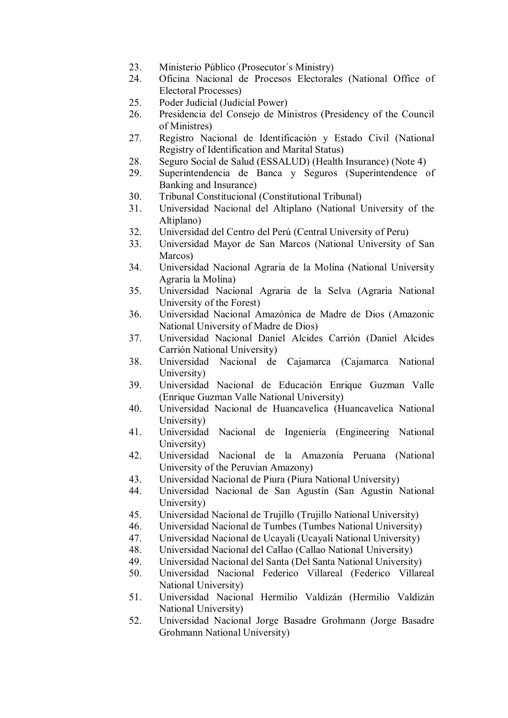- 23. Ministerio Público (Prosecutor´s Ministry)
- 24. Oficina Nacional de Procesos Electorales (National Office of Electoral Processes)
- 25. Poder Judicial (Judicial Power)
- 26. Presidencia del Consejo de Ministros (Presidency of the Council of Ministres)
- 27. Registro Nacional de Identificación y Estado Civil (National Registry of Identification and Marital Status)
- 28. Seguro Social de Salud (ESSALUD) (Health Insurance) (Note 4)
- 29. Superintendencia de Banca y Seguros (Superintendence of Banking and Insurance)
- 30. Tribunal Constitucional (Constitutional Tribunal)
- 31. Universidad Nacional del Altiplano (National University of the Altiplano)
- 32. Universidad del Centro del Perú (Central University of Peru)
- 33. Universidad Mayor de San Marcos (National University of San Marcos)
- 34. Universidad Nacional Agraria de la Molina (National University Agraria la Molina)
- 35. Universidad Nacional Agraria de la Selva (Agraria National University of the Forest)
- 36. Universidad Nacional Amazónica de Madre de Dios (Amazonic National University of Madre de Dios)
- 37. Universidad Nacional Daniel Alcides Carrión (Daniel Alcides Carrión National University)
- 38. Universidad Nacional de Cajamarca (Cajamarca National University)
- 39. Universidad Nacional de Educación Enrique Guzman Valle (Enrique Guzman Valle National University)
- 40. Universidad Nacional de Huancavelica (Huancavelica National University)
- 41. Universidad Nacional de Ingeniería (Engineering National University)
- 42. Universidad Nacional de la Amazonía Peruana (National University of the Peruvian Amazony)
- 43. Universidad Nacional de Piura (Piura National University)
- 44. Universidad Nacional de San Agustín (San Agustín National University)
- 45. Universidad Nacional de Trujillo (Trujillo National University)
- 46. Universidad Nacional de Tumbes (Tumbes National University)
- 47. Universidad Nacional de Ucayali (Ucayali National University)
- 48. Universidad Nacional del Callao (Callao National University)
- 49. Universidad Nacional del Santa (Del Santa National University)
- 50. Universidad Nacional Federico Villareal (Federico Villareal National University)
- 51. Universidad Nacional Hermilio Valdizán (Hermilio Valdizán National University)
- 52. Universidad Nacional Jorge Basadre Grohmann (Jorge Basadre Grohmann National University)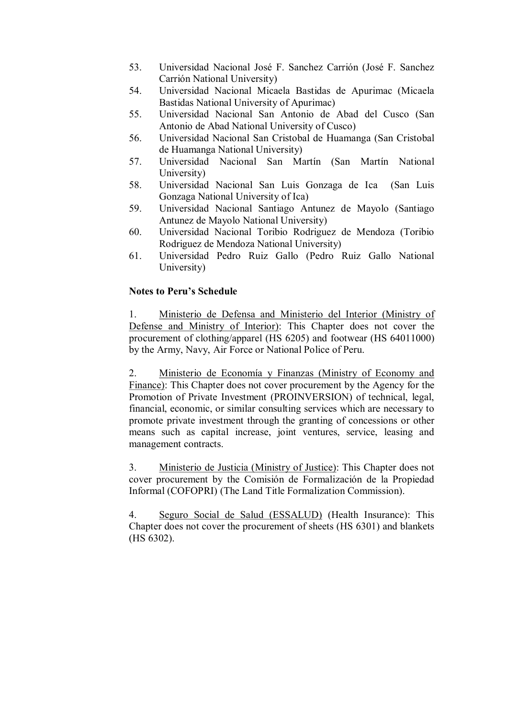- 53. Universidad Nacional José F. Sanchez Carrión (José F. Sanchez Carrión National University)
- 54. Universidad Nacional Micaela Bastidas de Apurimac (Micaela Bastidas National University of Apurimac)
- 55. Universidad Nacional San Antonio de Abad del Cusco (San Antonio de Abad National University of Cusco)
- 56. Universidad Nacional San Cristobal de Huamanga (San Cristobal de Huamanga National University)
- 57. Universidad Nacional San Martín (San Martín National University)
- 58. Universidad Nacional San Luis Gonzaga de Ica (San Luis Gonzaga National University of Ica)
- 59. Universidad Nacional Santiago Antunez de Mayolo (Santiago Antunez de Mayolo National University)
- 60. Universidad Nacional Toribio Rodriguez de Mendoza (Toribio Rodriguez de Mendoza National University)
- 61. Universidad Pedro Ruiz Gallo (Pedro Ruiz Gallo National University)

## **Notes to Peru's Schedule**

1. Ministerio de Defensa and Ministerio del Interior (Ministry of Defense and Ministry of Interior): This Chapter does not cover the procurement of clothing/apparel (HS 6205) and footwear (HS 64011000) by the Army, Navy, Air Force or National Police of Peru.

2. Ministerio de Economía y Finanzas (Ministry of Economy and Finance): This Chapter does not cover procurement by the Agency for the Promotion of Private Investment (PROINVERSION) of technical, legal, financial, economic, or similar consulting services which are necessary to promote private investment through the granting of concessions or other means such as capital increase, joint ventures, service, leasing and management contracts.

3. Ministerio de Justicia (Ministry of Justice): This Chapter does not cover procurement by the Comisión de Formalización de la Propiedad Informal (COFOPRI) (The Land Title Formalization Commission).

4. Seguro Social de Salud (ESSALUD) (Health Insurance): This Chapter does not cover the procurement of sheets (HS 6301) and blankets (HS 6302).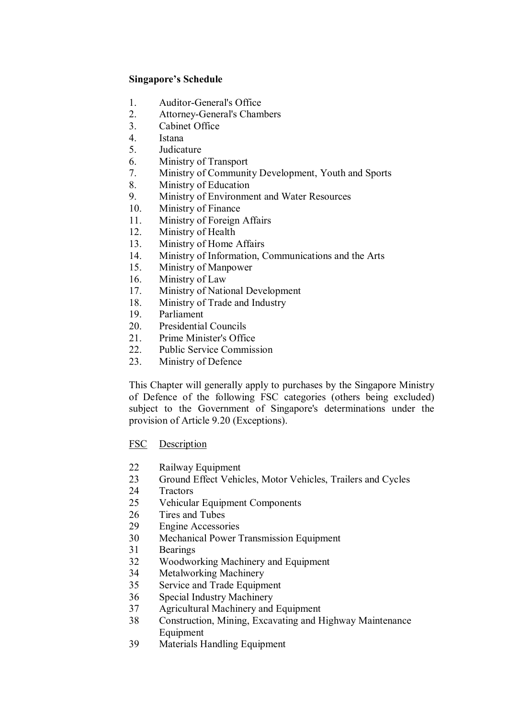- 1. Auditor-General's Office
- 2. Attorney-General's Chambers<br>3. Cabinet Office
- Cabinet Office
- 4. Istana
- 5. Judicature
- 6. Ministry of Transport
- 7. Ministry of Community Development, Youth and Sports
- 8. Ministry of Education
- 9. Ministry of Environment and Water Resources
- 10. Ministry of Finance
- 11. Ministry of Foreign Affairs
- 12. Ministry of Health
- 13. Ministry of Home Affairs
- 14. Ministry of Information, Communications and the Arts<br>15. Ministry of Mannower
- Ministry of Manpower
- 16. Ministry of Law
- 17. Ministry of National Development
- 18. Ministry of Trade and Industry
- 19. Parliament
- 20. Presidential Councils
- 21. Prime Minister's Office
- 22. Public Service Commission
- 23. Ministry of Defence

This Chapter will generally apply to purchases by the Singapore Ministry of Defence of the following FSC categories (others being excluded) subject to the Government of Singapore's determinations under the provision of Article 9.20 (Exceptions).

- FSC Description
- 22 Railway Equipment
- 23 Ground Effect Vehicles, Motor Vehicles, Trailers and Cycles
- 24 Tractors
- 25 Vehicular Equipment Components
- 26 Tires and Tubes<br>29 Engine Accessor
- **Engine Accessories**
- 30 Mechanical Power Transmission Equipment
- 31 Bearings
- 32 Woodworking Machinery and Equipment
- 34 Metalworking Machinery
- 35 Service and Trade Equipment
- 36 Special Industry Machinery
- 37 Agricultural Machinery and Equipment
- 38 Construction, Mining, Excavating and Highway Maintenance Equipment
- 39 Materials Handling Equipment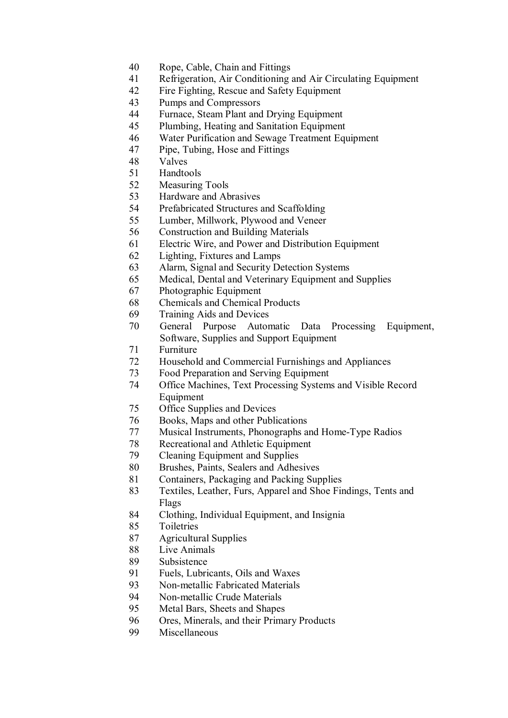- Rope, Cable, Chain and Fittings
- Refrigeration, Air Conditioning and Air Circulating Equipment
- Fire Fighting, Rescue and Safety Equipment
- Pumps and Compressors
- 44 Furnace, Steam Plant and Drying Equipment<br>45 Plumbing, Heating and Sanitation Equipment
- Plumbing, Heating and Sanitation Equipment
- 46 Water Purification and Sewage Treatment Equipment<br>47 Pipe, Tubing, Hose and Fittings
- Pipe, Tubing, Hose and Fittings
- Valves
- Handtools
- Measuring Tools
- Hardware and Abrasives
- Prefabricated Structures and Scaffolding
- Lumber, Millwork, Plywood and Veneer
- Construction and Building Materials
- Electric Wire, and Power and Distribution Equipment
- 62 Lighting, Fixtures and Lamps<br>63 Alarm, Signal and Security De
- Alarm, Signal and Security Detection Systems
- Medical, Dental and Veterinary Equipment and Supplies
- Photographic Equipment
- Chemicals and Chemical Products
- Training Aids and Devices
- General Purpose Automatic Data Processing Equipment, Software, Supplies and Support Equipment
- Furniture
- Household and Commercial Furnishings and Appliances
- 73 Food Preparation and Serving Equipment<br>74 Office Machines. Text Processing System
- Office Machines, Text Processing Systems and Visible Record Equipment
- Office Supplies and Devices
- Books, Maps and other Publications
- 77 Musical Instruments, Phonographs and Home-Type Radios
- Recreational and Athletic Equipment
- Cleaning Equipment and Supplies
- Brushes, Paints, Sealers and Adhesives
- Containers, Packaging and Packing Supplies
- Textiles, Leather, Furs, Apparel and Shoe Findings, Tents and Flags
- Clothing, Individual Equipment, and Insignia
- Toiletries
- Agricultural Supplies
- Live Animals
- Subsistence
- Fuels, Lubricants, Oils and Waxes
- 93 Non-metallic Fabricated Materials
- 94 Non-metallic Crude Materials
- Metal Bars, Sheets and Shapes
- Ores, Minerals, and their Primary Products
- Miscellaneous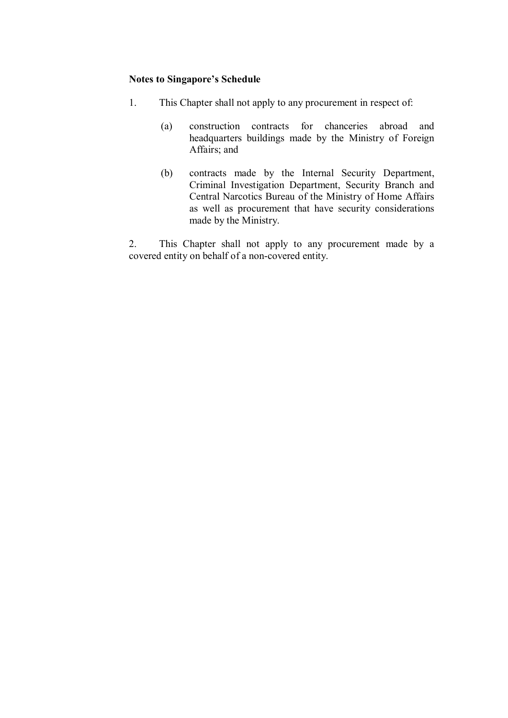## **Notes to Singapore's Schedule**

- 1. This Chapter shall not apply to any procurement in respect of:
	- (a) construction contracts for chanceries abroad and headquarters buildings made by the Ministry of Foreign Affairs; and
	- (b) contracts made by the Internal Security Department, Criminal Investigation Department, Security Branch and Central Narcotics Bureau of the Ministry of Home Affairs as well as procurement that have security considerations made by the Ministry.

2. This Chapter shall not apply to any procurement made by a covered entity on behalf of a non-covered entity.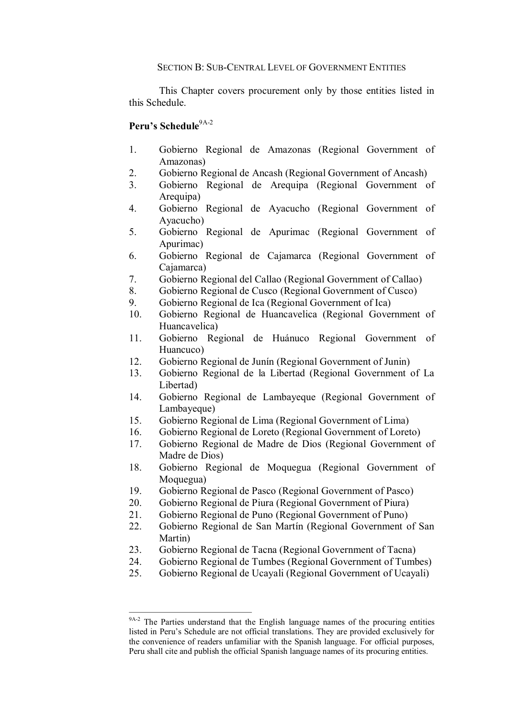#### SECTION B: SUB-CENTRAL LEVEL OF GOVERNMENT ENTITIES

This Chapter covers procurement only by those entities listed in this Schedule.

## **Peru's Schedule**<sup>9A-2</sup>

- 1. Gobierno Regional de Amazonas (Regional Government of Amazonas)
- 2. Gobierno Regional de Ancash (Regional Government of Ancash)
- 3. Gobierno Regional de Arequipa (Regional Government of Arequipa)
- 4. Gobierno Regional de Ayacucho (Regional Government of Ayacucho)
- 5. Gobierno Regional de Apurimac (Regional Government of Apurimac)
- 6. Gobierno Regional de Cajamarca (Regional Government of Cajamarca)
- 7. Gobierno Regional del Callao (Regional Government of Callao)
- 8. Gobierno Regional de Cusco (Regional Government of Cusco)
- 9. Gobierno Regional de Ica (Regional Government of Ica)
- 10. Gobierno Regional de Huancavelica (Regional Government of Huancavelica)
- 11. Gobierno Regional de Huánuco Regional Government of Huancuco)
- 12. Gobierno Regional de Junín (Regional Government of Junin)
- 13. Gobierno Regional de la Libertad (Regional Government of La Libertad)
- 14. Gobierno Regional de Lambayeque (Regional Government of Lambayeque)
- 15. Gobierno Regional de Lima (Regional Government of Lima)
- 16. Gobierno Regional de Loreto (Regional Government of Loreto)
- 17. Gobierno Regional de Madre de Dios (Regional Government of Madre de Dios)
- 18. Gobierno Regional de Moquegua (Regional Government of Moquegua)
- 19. Gobierno Regional de Pasco (Regional Government of Pasco)
- 20. Gobierno Regional de Piura (Regional Government of Piura)
- 21. Gobierno Regional de Puno (Regional Government of Puno)
- 22. Gobierno Regional de San Martín (Regional Government of San Martin)
- 23. Gobierno Regional de Tacna (Regional Government of Tacna)
- 24. Gobierno Regional de Tumbes (Regional Government of Tumbes)
- 25. Gobierno Regional de Ucayali (Regional Government of Ucayali)

<sup>9</sup>A-2 The Parties understand that the English language names of the procuring entities listed in Peru's Schedule are not official translations. They are provided exclusively for the convenience of readers unfamiliar with the Spanish language. For official purposes, Peru shall cite and publish the official Spanish language names of its procuring entities.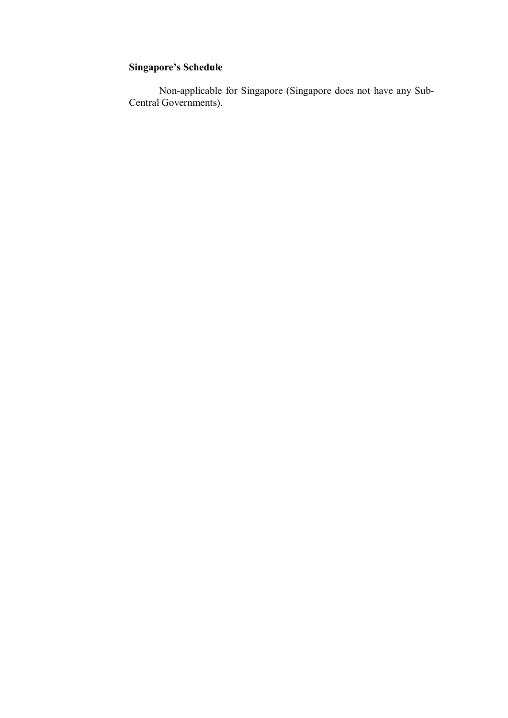Non-applicable for Singapore (Singapore does not have any Sub-Central Governments).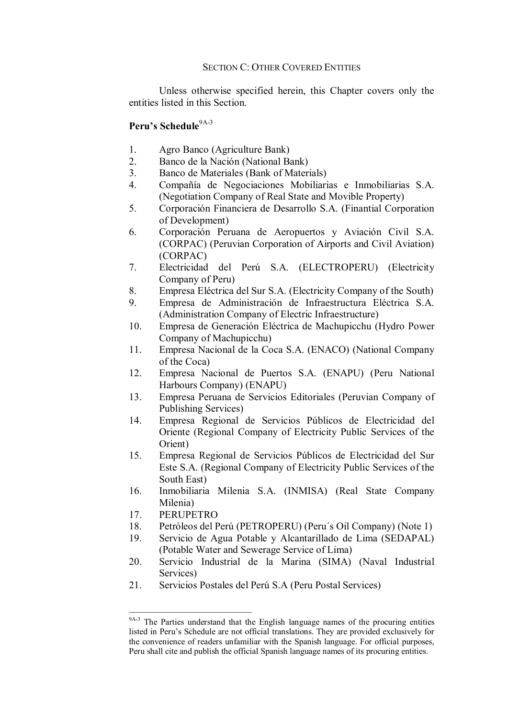### SECTION C: OTHER COVERED ENTITIES

Unless otherwise specified herein, this Chapter covers only the entities listed in this Section.

## Peru's Schedule<sup>9A-3</sup>

- 1. Agro Banco (Agriculture Bank)
- 2. Banco de la Nación (National Bank)
- 3. Banco de Materiales (Bank of Materials)
- 4. Compañía de Negociaciones Mobiliarias e Inmobiliarias S.A. (Negotiation Company of Real State and Movible Property)
- 5. Corporación Financiera de Desarrollo S.A. (Finantial Corporation of Development)
- 6. Corporación Peruana de Aeropuertos y Aviación Civil S.A. (CORPAC) (Peruvian Corporation of Airports and Civil Aviation) (CORPAC)
- 7. Electricidad del Perú S.A. (ELECTROPERU) (Electricity Company of Peru)
- 8. Empresa Eléctrica del Sur S.A. (Electricity Company of the South)
- 9. Empresa de Administración de Infraestructura Eléctrica S.A. (Administration Company of Electric Infraestructure)
- 10. Empresa de Generación Eléctrica de Machupicchu (Hydro Power Company of Machupicchu)
- 11. Empresa Nacional de la Coca S.A. (ENACO) (National Company of the Coca)
- 12. Empresa Nacional de Puertos S.A. (ENAPU) (Peru National Harbours Company) (ENAPU)
- 13. Empresa Peruana de Servicios Editoriales (Peruvian Company of Publishing Services)
- 14. Empresa Regional de Servicios Públicos de Electricidad del Oriente (Regional Company of Electricity Public Services of the Orient)
- 15. Empresa Regional de Servicios Públicos de Electricidad del Sur Este S.A. (Regional Company of Electricity Public Services of the South East)
- 16. Inmobiliaria Milenia S.A. (INMISA) (Real State Company Milenia)
- 17. PERUPETRO
- 18. Petróleos del Perú (PETROPERU) (Peru´s Oil Company) (Note 1)
- 19. Servicio de Agua Potable y Alcantarillado de Lima (SEDAPAL) (Potable Water and Sewerage Service of Lima)
- 20. Servicio Industrial de la Marina (SIMA) (Naval Industrial Services)
- 21. Servicios Postales del Perú S.A (Peru Postal Services)

<sup>&</sup>lt;sup>9A-3</sup> The Parties understand that the English language names of the procuring entities listed in Peru's Schedule are not official translations. They are provided exclusively for the convenience of readers unfamiliar with the Spanish language. For official purposes, Peru shall cite and publish the official Spanish language names of its procuring entities.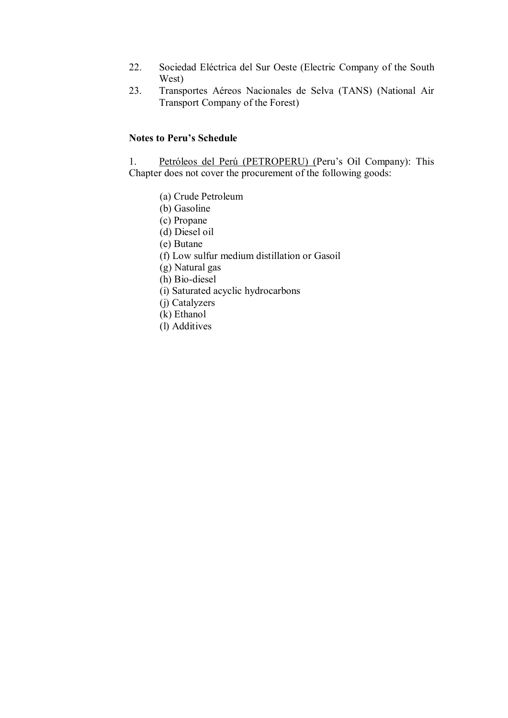- 22. Sociedad Eléctrica del Sur Oeste (Electric Company of the South West)
- 23. Transportes Aéreos Nacionales de Selva (TANS) (National Air Transport Company of the Forest)

## **Notes to Peru's Schedule**

1. Petróleos del Perú (PETROPERU) (Peru's Oil Company): This Chapter does not cover the procurement of the following goods:

- (a) Crude Petroleum
- (b) Gasoline
- (c) Propane
- (d) Diesel oil
- (e) Butane
- (f) Low sulfur medium distillation or Gasoil
- (g) Natural gas
- (h) Bio-diesel
- (i) Saturated acyclic hydrocarbons
- (j) Catalyzers
- (k) Ethanol
- (l) Additives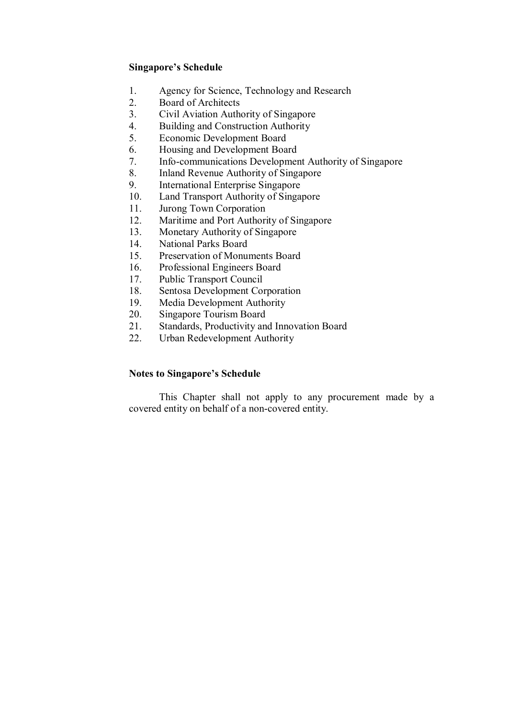- 1. Agency for Science, Technology and Research
- 2. Board of Architects
- 3. Civil Aviation Authority of Singapore<br>4. Building and Construction Authority
- 4. Building and Construction Authority
- 5. Economic Development Board
- 6. Housing and Development Board
- 7. Info-communications Development Authority of Singapore
- 8. Inland Revenue Authority of Singapore
- 9. International Enterprise Singapore
- 10. Land Transport Authority of Singapore
- 11. Jurong Town Corporation<br>12. Maritime and Port Authori
- Maritime and Port Authority of Singapore
- 13. Monetary Authority of Singapore
- 14. National Parks Board
- 15. Preservation of Monuments Board<br>16. Professional Engineers Board
- 16. Professional Engineers Board
- 17. Public Transport Council
- 18. Sentosa Development Corporation
- 19. Media Development Authority
- 20. Singapore Tourism Board
- 21. Standards, Productivity and Innovation Board
- 22. Urban Redevelopment Authority

## **Notes to Singapore's Schedule**

This Chapter shall not apply to any procurement made by a covered entity on behalf of a non-covered entity.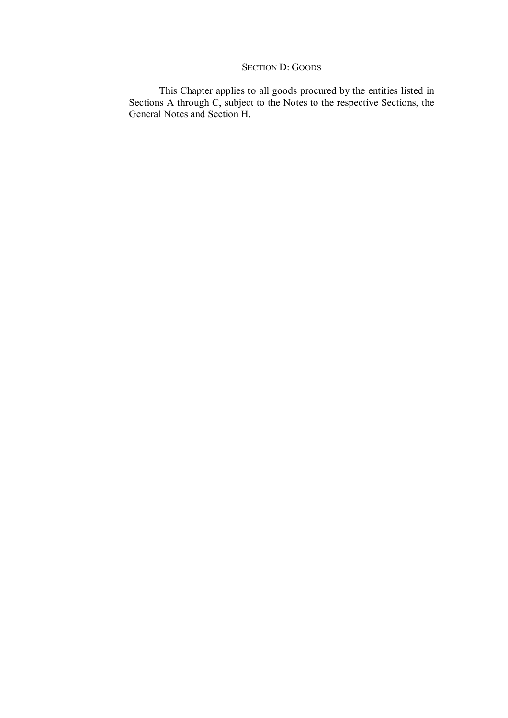## SECTION D: GOODS

This Chapter applies to all goods procured by the entities listed in Sections A through C, subject to the Notes to the respective Sections, the General Notes and Section H.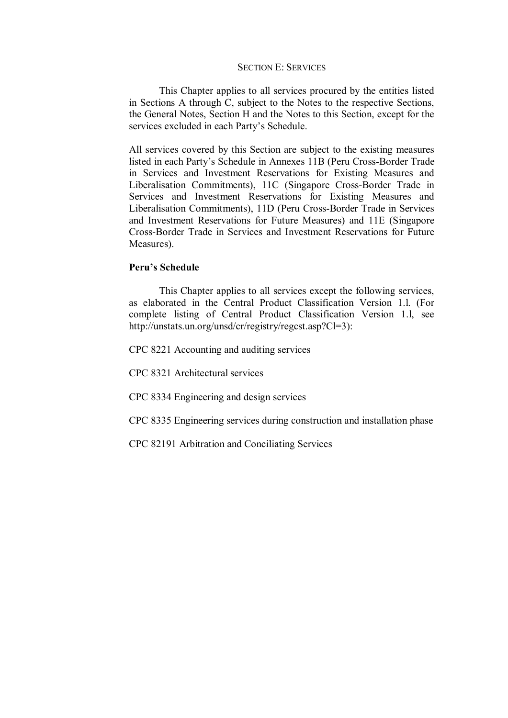#### SECTION E: SERVICES

This Chapter applies to all services procured by the entities listed in Sections A through C, subject to the Notes to the respective Sections, the General Notes, Section H and the Notes to this Section, except for the services excluded in each Party's Schedule.

All services covered by this Section are subject to the existing measures listed in each Party's Schedule in Annexes 11B (Peru Cross-Border Trade in Services and Investment Reservations for Existing Measures and Liberalisation Commitments), 11C (Singapore Cross-Border Trade in Services and Investment Reservations for Existing Measures and Liberalisation Commitments), 11D (Peru Cross-Border Trade in Services and Investment Reservations for Future Measures) and 11E (Singapore Cross-Border Trade in Services and Investment Reservations for Future Measures).

## **Peru's Schedule**

This Chapter applies to all services except the following services, as elaborated in the Central Product Classification Version 1.l. (For complete listing of Central Product Classification Version 1.l, see http://unstats.un.org/unsd/cr/registry/regcst.asp?Cl=3):

CPC 8221 Accounting and auditing services

CPC 8321 Architectural services

CPC 8334 Engineering and design services

CPC 8335 Engineering services during construction and installation phase

CPC 82191 Arbitration and Conciliating Services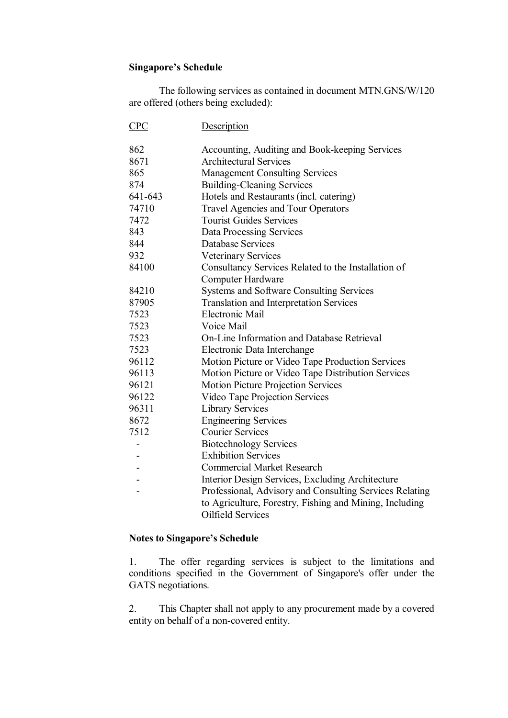The following services as contained in document MTN.GNS/W/120 are offered (others being excluded):

| CPC     | Description                                             |
|---------|---------------------------------------------------------|
| 862     | Accounting, Auditing and Book-keeping Services          |
| 8671    | <b>Architectural Services</b>                           |
| 865     | <b>Management Consulting Services</b>                   |
| 874     | <b>Building-Cleaning Services</b>                       |
| 641-643 | Hotels and Restaurants (incl. catering)                 |
| 74710   | <b>Travel Agencies and Tour Operators</b>               |
| 7472    | <b>Tourist Guides Services</b>                          |
| 843     | <b>Data Processing Services</b>                         |
| 844     | <b>Database Services</b>                                |
| 932     | <b>Veterinary Services</b>                              |
| 84100   | Consultancy Services Related to the Installation of     |
|         | Computer Hardware                                       |
| 84210   | <b>Systems and Software Consulting Services</b>         |
| 87905   | <b>Translation and Interpretation Services</b>          |
| 7523    | Electronic Mail                                         |
| 7523    | Voice Mail                                              |
| 7523    | On-Line Information and Database Retrieval              |
| 7523    | Electronic Data Interchange                             |
| 96112   | Motion Picture or Video Tape Production Services        |
| 96113   | Motion Picture or Video Tape Distribution Services      |
| 96121   | Motion Picture Projection Services                      |
| 96122   | Video Tape Projection Services                          |
| 96311   | <b>Library Services</b>                                 |
| 8672    | <b>Engineering Services</b>                             |
| 7512    | <b>Courier Services</b>                                 |
|         | <b>Biotechnology Services</b>                           |
|         | <b>Exhibition Services</b>                              |
|         | <b>Commercial Market Research</b>                       |
|         | Interior Design Services, Excluding Architecture        |
|         | Professional, Advisory and Consulting Services Relating |
|         | to Agriculture, Forestry, Fishing and Mining, Including |
|         | Oilfield Services                                       |
|         |                                                         |

## **Notes to Singapore's Schedule**

1. The offer regarding services is subject to the limitations and conditions specified in the Government of Singapore's offer under the GATS negotiations.

2. This Chapter shall not apply to any procurement made by a covered entity on behalf of a non-covered entity.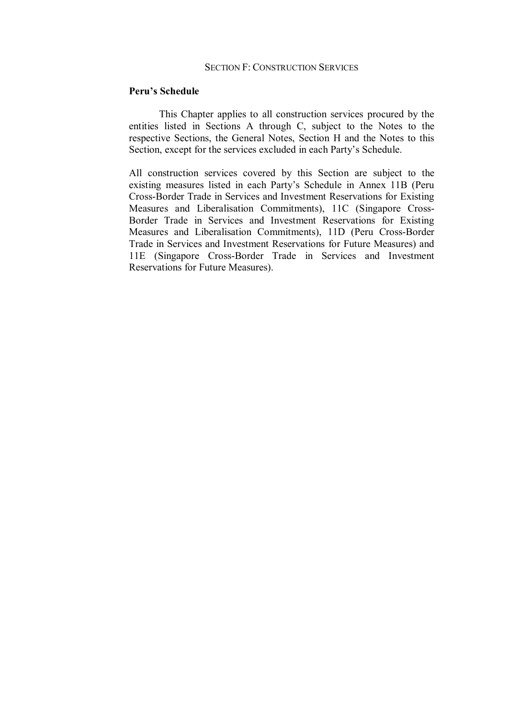#### SECTION F: CONSTRUCTION SERVICES

#### **Peru's Schedule**

This Chapter applies to all construction services procured by the entities listed in Sections A through C, subject to the Notes to the respective Sections, the General Notes, Section H and the Notes to this Section, except for the services excluded in each Party's Schedule.

All construction services covered by this Section are subject to the existing measures listed in each Party's Schedule in Annex 11B (Peru Cross-Border Trade in Services and Investment Reservations for Existing Measures and Liberalisation Commitments), 11C (Singapore Cross Border Trade in Services and Investment Reservations for Existing Measures and Liberalisation Commitments), 11D (Peru Cross-Border Trade in Services and Investment Reservations for Future Measures) and 11E (Singapore Cross-Border Trade in Services and Investment Reservations for Future Measures).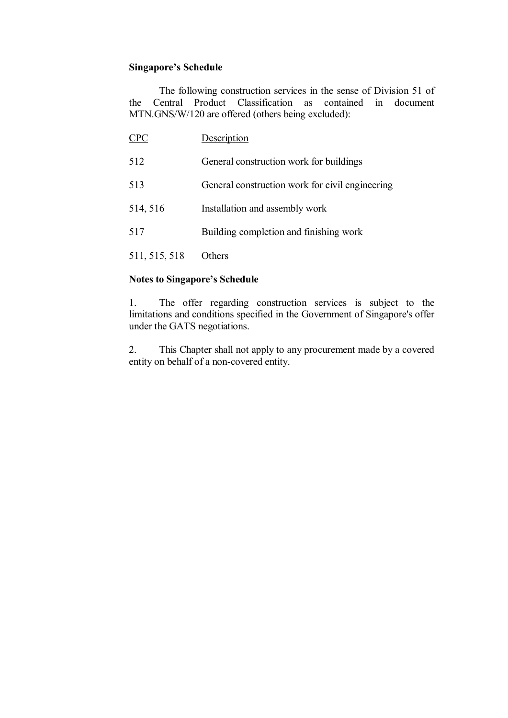The following construction services in the sense of Division 51 of the Central Product Classification as contained in document MTN.GNS/W/120 are offered (others being excluded):

| <b>CPC</b>    | Description                                     |
|---------------|-------------------------------------------------|
| 512           | General construction work for buildings         |
| 513           | General construction work for civil engineering |
| 514, 516      | Installation and assembly work                  |
| 517           | Building completion and finishing work          |
| 511, 515, 518 | Others                                          |

## **Notes to Singapore's Schedule**

1. The offer regarding construction services is subject to the limitations and conditions specified in the Government of Singapore's offer under the GATS negotiations.

2. This Chapter shall not apply to any procurement made by a covered entity on behalf of a non-covered entity.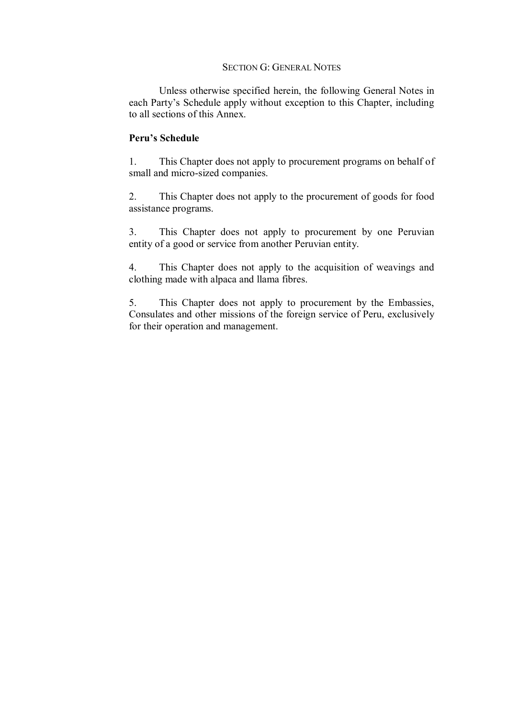#### SECTION G: GENERAL NOTES

Unless otherwise specified herein, the following General Notes in each Party's Schedule apply without exception to this Chapter, including to all sections of this Annex.

## **Peru's Schedule**

1. This Chapter does not apply to procurement programs on behalf of small and micro-sized companies.

2. This Chapter does not apply to the procurement of goods for food assistance programs.

3. This Chapter does not apply to procurement by one Peruvian entity of a good or service from another Peruvian entity.

4. This Chapter does not apply to the acquisition of weavings and clothing made with alpaca and llama fibres.

5. This Chapter does not apply to procurement by the Embassies, Consulates and other missions of the foreign service of Peru, exclusively for their operation and management.